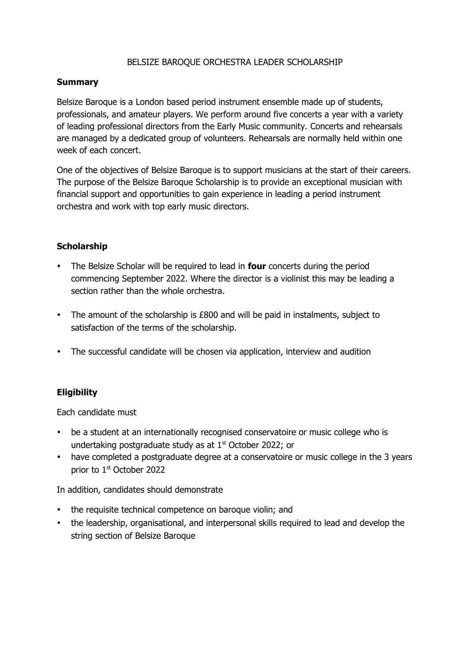### BELSIZE BAROQUE ORCHESTRA LEADER SCHOLARSHIP

#### **Summary**

Belsize Baroque is a London based period instrument ensemble made up of students, professionals, and amateur players. We perform around five concerts a year with a variety of leading professional directors from the Early Music community. Concerts and rehearsals are managed by a dedicated group of volunteers. Rehearsals are normally held within one week of each concert.

One of the objectives of Belsize Baroque is to support musicians at the start of their careers. The purpose of the Belsize Baroque Scholarship is to provide an exceptional musician with financial support and opportunities to gain experience in leading a period instrument orchestra and work with top early music directors.

### **Scholarship**

- The Belsize Scholar will be required to lead in **four** concerts during the period commencing September 2022. Where the director is a violinist this may be leading a section rather than the whole orchestra.
- The amount of the scholarship is £800 and will be paid in instalments, subject to satisfaction of the terms of the scholarship.
- The successful candidate will be chosen via application, interview and audition

# **Eligibility**

Each candidate must

- be a student at an internationally recognised conservatoire or music college who is undertaking postgraduate study as at  $1<sup>st</sup>$  October 2022; or
- have completed a postgraduate degree at a conservatoire or music college in the 3 years prior to 1<sup>st</sup> October 2022

In addition, candidates should demonstrate

- the requisite technical competence on baroque violin; and
- the leadership, organisational, and interpersonal skills required to lead and develop the string section of Belsize Baroque